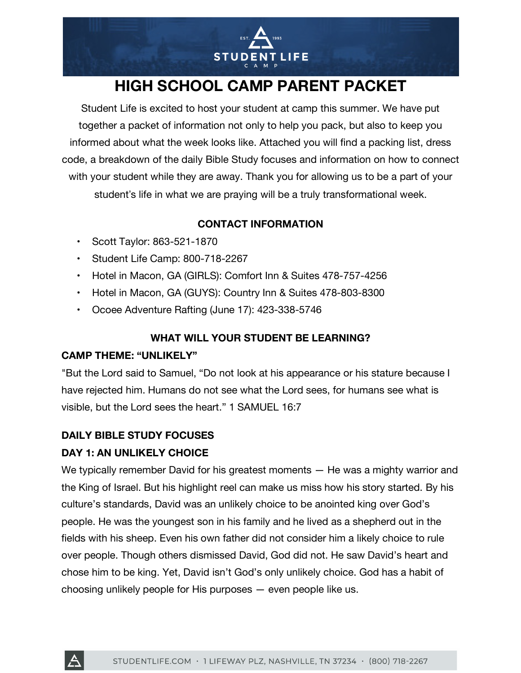

# **HIGH SCHOOL CAMP PARENT PACKET**

Student Life is excited to host your student at camp this summer. We have put together a packet of information not only to help you pack, but also to keep you informed about what the week looks like. Attached you will find a packing list, dress code, a breakdown of the daily Bible Study focuses and information on how to connect with your student while they are away. Thank you for allowing us to be a part of your student's life in what we are praying will be a truly transformational week.

# **CONTACT INFORMATION**

- Scott Taylor: 863-521-1870
- Student Life Camp: 800-718-2267
- Hotel in Macon, GA (GIRLS): Comfort Inn & Suites 478-757-4256
- Hotel in Macon, GA (GUYS): Country Inn & Suites 478-803-8300
- Ocoee Adventure Rafting (June 17): 423-338-5746

## **WHAT WILL YOUR STUDENT BE LEARNING?**

### **CAMP THEME: "UNLIKELY"**

"But the Lord said to Samuel, "Do not look at his appearance or his stature because I have rejected him. Humans do not see what the Lord sees, for humans see what is visible, but the Lord sees the heart." 1 SAMUEL 16:7

### **DAILY BIBLE STUDY FOCUSES**

# **DAY 1: AN UNLIKELY CHOICE**

We typically remember David for his greatest moments — He was a mighty warrior and the King of Israel. But his highlight reel can make us miss how his story started. By his culture's standards, David was an unlikely choice to be anointed king over God's people. He was the youngest son in his family and he lived as a shepherd out in the fields with his sheep. Even his own father did not consider him a likely choice to rule over people. Though others dismissed David, God did not. He saw David's heart and chose him to be king. Yet, David isn't God's only unlikely choice. God has a habit of choosing unlikely people for His purposes — even people like us.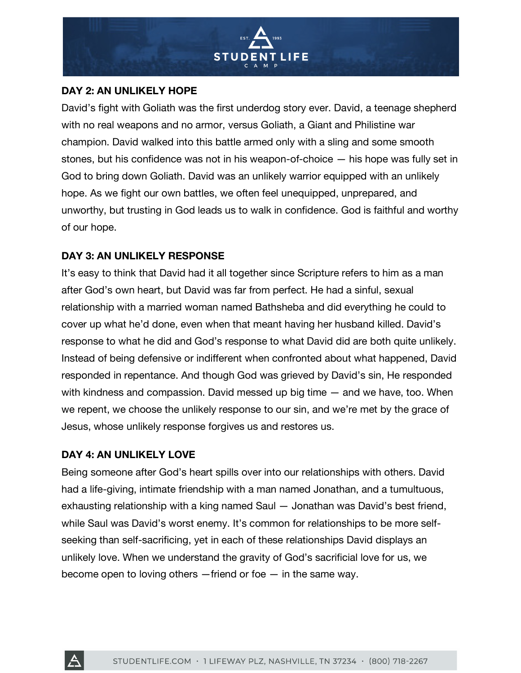

### **DAY 2: AN UNLIKELY HOPE**

David's fight with Goliath was the first underdog story ever. David, a teenage shepherd with no real weapons and no armor, versus Goliath, a Giant and Philistine war champion. David walked into this battle armed only with a sling and some smooth stones, but his confidence was not in his weapon-of-choice — his hope was fully set in God to bring down Goliath. David was an unlikely warrior equipped with an unlikely hope. As we fight our own battles, we often feel unequipped, unprepared, and unworthy, but trusting in God leads us to walk in confidence. God is faithful and worthy of our hope.

### **DAY 3: AN UNLIKELY RESPONSE**

It's easy to think that David had it all together since Scripture refers to him as a man after God's own heart, but David was far from perfect. He had a sinful, sexual relationship with a married woman named Bathsheba and did everything he could to cover up what he'd done, even when that meant having her husband killed. David's response to what he did and God's response to what David did are both quite unlikely. Instead of being defensive or indifferent when confronted about what happened, David responded in repentance. And though God was grieved by David's sin, He responded with kindness and compassion. David messed up big time — and we have, too. When we repent, we choose the unlikely response to our sin, and we're met by the grace of Jesus, whose unlikely response forgives us and restores us.

### **DAY 4: AN UNLIKELY LOVE**

Being someone after God's heart spills over into our relationships with others. David had a life-giving, intimate friendship with a man named Jonathan, and a tumultuous, exhausting relationship with a king named Saul — Jonathan was David's best friend, while Saul was David's worst enemy. It's common for relationships to be more selfseeking than self-sacrificing, yet in each of these relationships David displays an unlikely love. When we understand the gravity of God's sacrificial love for us, we become open to loving others  $-$  friend or foe  $-$  in the same way.

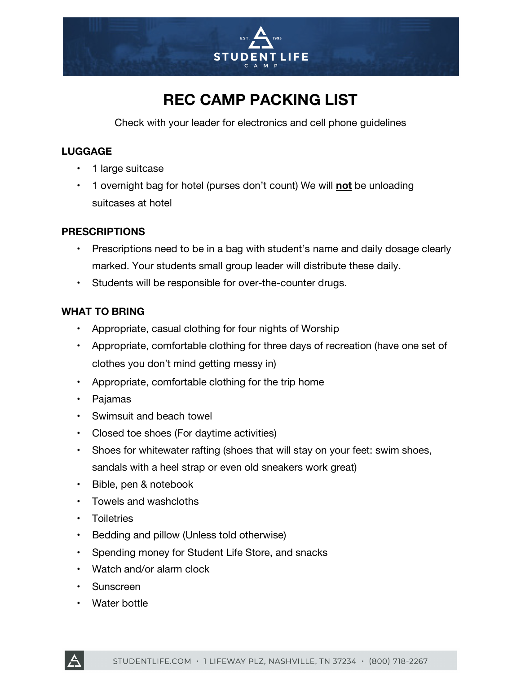

# **REC CAMP PACKING LIST**

Check with your leader for electronics and cell phone guidelines

## **LUGGAGE**

- 1 large suitcase
- 1 overnight bag for hotel (purses don't count) We will **not** be unloading suitcases at hotel

### **PRESCRIPTIONS**

- Prescriptions need to be in a bag with student's name and daily dosage clearly marked. Your students small group leader will distribute these daily.
- Students will be responsible for over-the-counter drugs.

### **WHAT TO BRING**

- Appropriate, casual clothing for four nights of Worship
- Appropriate, comfortable clothing for three days of recreation (have one set of clothes you don't mind getting messy in)
- Appropriate, comfortable clothing for the trip home
- Pajamas
- Swimsuit and beach towel
- Closed toe shoes (For daytime activities)
- Shoes for whitewater rafting (shoes that will stay on your feet: swim shoes, sandals with a heel strap or even old sneakers work great)
- Bible, pen & notebook
- Towels and washcloths
- Toiletries
- Bedding and pillow (Unless told otherwise)
- Spending money for Student Life Store, and snacks
- Watch and/or alarm clock
- Sunscreen
- Water bottle

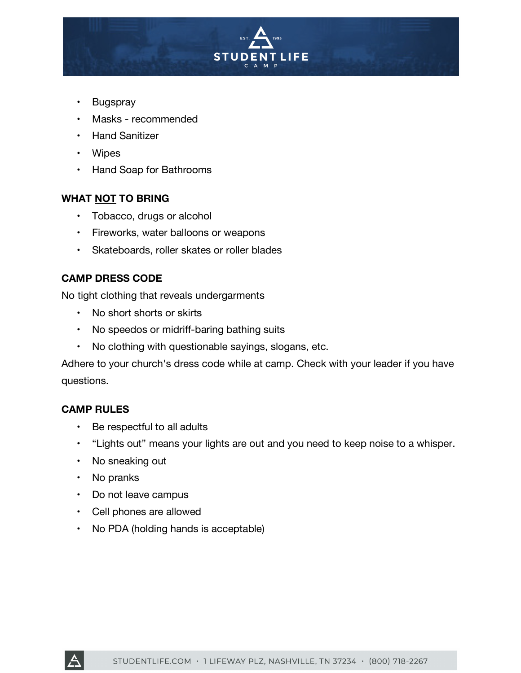

- Bugspray
- Masks recommended
- Hand Sanitizer
- Wipes
- Hand Soap for Bathrooms

#### **WHAT NOT TO BRING**

- Tobacco, drugs or alcohol
- Fireworks, water balloons or weapons
- Skateboards, roller skates or roller blades

### **CAMP DRESS CODE**

No tight clothing that reveals undergarments

- No short shorts or skirts
- No speedos or midriff-baring bathing suits
- No clothing with questionable sayings, slogans, etc.

Adhere to your church's dress code while at camp. Check with your leader if you have questions.

#### **CAMP RULES**

- Be respectful to all adults
- "Lights out" means your lights are out and you need to keep noise to a whisper.
- No sneaking out
- No pranks
- Do not leave campus
- Cell phones are allowed
- No PDA (holding hands is acceptable)